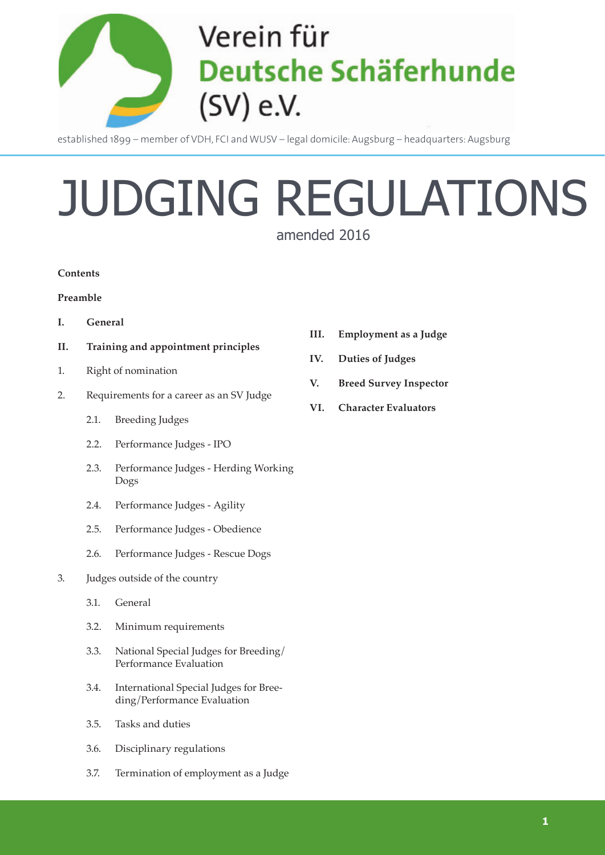

established 1899 – member of VDH, FCI and WUSV – legal domicile: Augsburg – headquarters: Augsburg

# JUDGING REGULATIONS

amended 2016

#### **Contents**

#### **Preamble**

- **I. General**
- **II. Training and appointment principles**
- 1. Right of nomination
- 2. Requirements for a career as an SV Judge
	- 2.1. Breeding Judges
	- 2.2. Performance Judges IPO
	- 2.3. Performance Judges Herding Working Dogs
	- 2.4. Performance Judges Agility
	- 2.5. Performance Judges Obedience
	- 2.6. Performance Judges Rescue Dogs
- 3. Judges outside of the country
	- 3.1. General
	- 3.2. Minimum requirements
	- 3.3. National Special Judges for Breeding/ Performance Evaluation
	- 3.4. International Special Judges for Breeding/Performance Evaluation
	- 3.5. Tasks and duties
	- 3.6. Disciplinary regulations
	- 3.7. Termination of employment as a Judge
- **III. Employment as a Judge**
- **IV. Duties of Judges**
- **V. Breed Survey Inspector**
- **VI. Character Evaluators**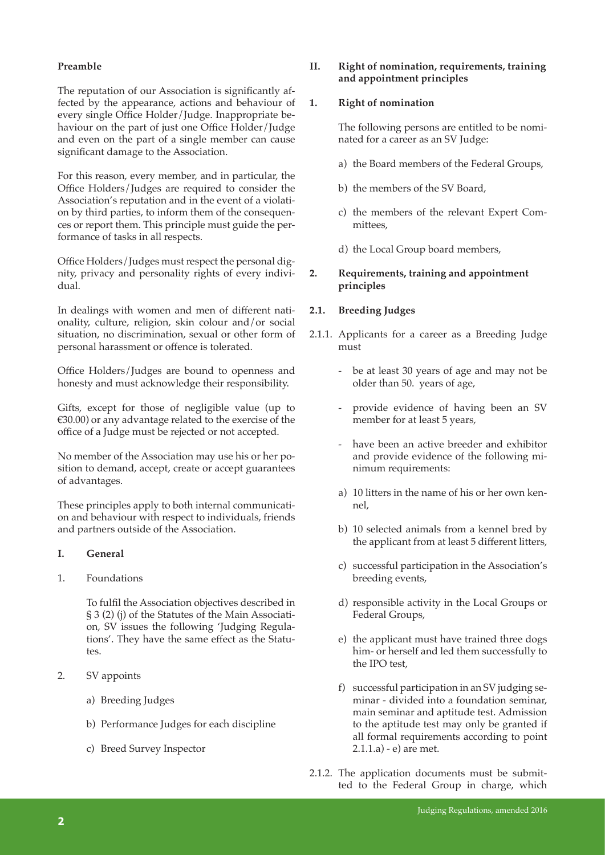#### **Preamble**

The reputation of our Association is significantly affected by the appearance, actions and behaviour of every single Office Holder/Judge. Inappropriate behaviour on the part of just one Office Holder/Judge and even on the part of a single member can cause significant damage to the Association.

For this reason, every member, and in particular, the Office Holders/Judges are required to consider the Association's reputation and in the event of a violation by third parties, to inform them of the consequences or report them. This principle must guide the performance of tasks in all respects.

Office Holders/Judges must respect the personal dignity, privacy and personality rights of every individual.

In dealings with women and men of different nationality, culture, religion, skin colour and/or social situation, no discrimination, sexual or other form of personal harassment or offence is tolerated.

Office Holders/Judges are bound to openness and honesty and must acknowledge their responsibility.

Gifts, except for those of negligible value (up to €30.00) or any advantage related to the exercise of the office of a Judge must be rejected or not accepted.

No member of the Association may use his or her position to demand, accept, create or accept guarantees of advantages.

These principles apply to both internal communication and behaviour with respect to individuals, friends and partners outside of the Association.

- **I. General**
- 1. Foundations

To fulfil the Association objectives described in § 3 (2) (j) of the Statutes of the Main Association, SV issues the following 'Judging Regulations'. They have the same effect as the Statutes.

- 2. SV appoints
	- a) Breeding Judges
	- b) Performance Judges for each discipline
	- c) Breed Survey Inspector

#### **II. Right of nomination, requirements, training and appointment principles**

#### **1. Right of nomination**

The following persons are entitled to be nominated for a career as an SV Judge:

- a) the Board members of the Federal Groups,
- b) the members of the SV Board,
- c) the members of the relevant Expert Committees,
- d) the Local Group board members,

#### **2. Requirements, training and appointment principles**

#### **2.1. Breeding Judges**

- 2.1.1. Applicants for a career as a Breeding Judge must
	- be at least 30 years of age and may not be older than 50. years of age,
	- provide evidence of having been an SV member for at least 5 years,
	- have been an active breeder and exhibitor and provide evidence of the following minimum requirements:
	- a) 10 litters in the name of his or her own kennel,
	- b) 10 selected animals from a kennel bred by the applicant from at least 5 different litters,
	- c) successful participation in the Association's breeding events,
	- d) responsible activity in the Local Groups or Federal Groups,
	- e) the applicant must have trained three dogs him- or herself and led them successfully to the IPO test,
	- f) successful participation in an SV judging seminar - divided into a foundation seminar, main seminar and aptitude test. Admission to the aptitude test may only be granted if all formal requirements according to point 2.1.1.a) - e) are met.
- 2.1.2. The application documents must be submitted to the Federal Group in charge, which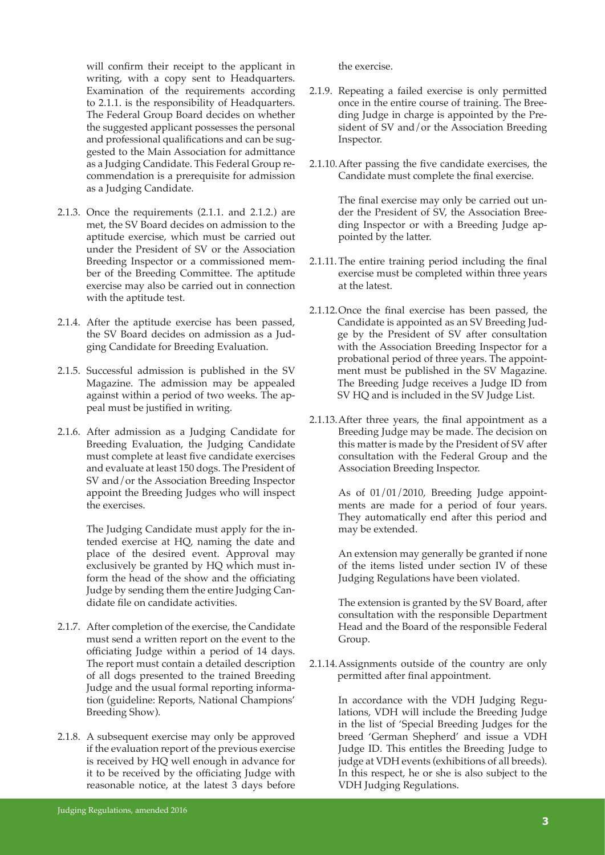will confirm their receipt to the applicant in writing, with a copy sent to Headquarters. Examination of the requirements according to 2.1.1. is the responsibility of Headquarters. The Federal Group Board decides on whether the suggested applicant possesses the personal and professional qualifications and can be suggested to the Main Association for admittance as a Judging Candidate. This Federal Group recommendation is a prerequisite for admission as a Judging Candidate.

- 2.1.3. Once the requirements (2.1.1. and 2.1.2.) are met, the SV Board decides on admission to the aptitude exercise, which must be carried out under the President of SV or the Association Breeding Inspector or a commissioned member of the Breeding Committee. The aptitude exercise may also be carried out in connection with the aptitude test.
- 2.1.4. After the aptitude exercise has been passed, the SV Board decides on admission as a Judging Candidate for Breeding Evaluation.
- 2.1.5. Successful admission is published in the SV Magazine. The admission may be appealed against within a period of two weeks. The appeal must be justified in writing.
- 2.1.6. After admission as a Judging Candidate for Breeding Evaluation, the Judging Candidate must complete at least five candidate exercises and evaluate at least 150 dogs. The President of SV and/or the Association Breeding Inspector appoint the Breeding Judges who will inspect the exercises.

The Judging Candidate must apply for the intended exercise at HQ, naming the date and place of the desired event. Approval may exclusively be granted by HQ which must inform the head of the show and the officiating Judge by sending them the entire Judging Candidate file on candidate activities.

- 2.1.7. After completion of the exercise, the Candidate must send a written report on the event to the officiating Judge within a period of 14 days. The report must contain a detailed description of all dogs presented to the trained Breeding Judge and the usual formal reporting information (guideline: Reports, National Champions' Breeding Show).
- 2.1.8. A subsequent exercise may only be approved if the evaluation report of the previous exercise is received by HQ well enough in advance for it to be received by the officiating Judge with reasonable notice, at the latest 3 days before

the exercise.

- 2.1.9. Repeating a failed exercise is only permitted once in the entire course of training. The Breeding Judge in charge is appointed by the President of SV and/or the Association Breeding Inspector.
- 2.1.10.After passing the five candidate exercises, the Candidate must complete the final exercise.

The final exercise may only be carried out under the President of SV, the Association Breeding Inspector or with a Breeding Judge appointed by the latter.

- 2.1.11.The entire training period including the final exercise must be completed within three years at the latest.
- 2.1.12.Once the final exercise has been passed, the Candidate is appointed as an SV Breeding Judge by the President of SV after consultation with the Association Breeding Inspector for a probational period of three years. The appointment must be published in the SV Magazine. The Breeding Judge receives a Judge ID from SV HQ and is included in the SV Judge List.
- 2.1.13.After three years, the final appointment as a Breeding Judge may be made. The decision on this matter is made by the President of SV after consultation with the Federal Group and the Association Breeding Inspector.

As of 01/01/2010, Breeding Judge appointments are made for a period of four years. They automatically end after this period and may be extended.

An extension may generally be granted if none of the items listed under section IV of these Judging Regulations have been violated.

The extension is granted by the SV Board, after consultation with the responsible Department Head and the Board of the responsible Federal Group.

2.1.14.Assignments outside of the country are only permitted after final appointment.

> In accordance with the VDH Judging Regulations, VDH will include the Breeding Judge in the list of 'Special Breeding Judges for the breed 'German Shepherd' and issue a VDH Judge ID. This entitles the Breeding Judge to judge at VDH events (exhibitions of all breeds). In this respect, he or she is also subject to the VDH Judging Regulations.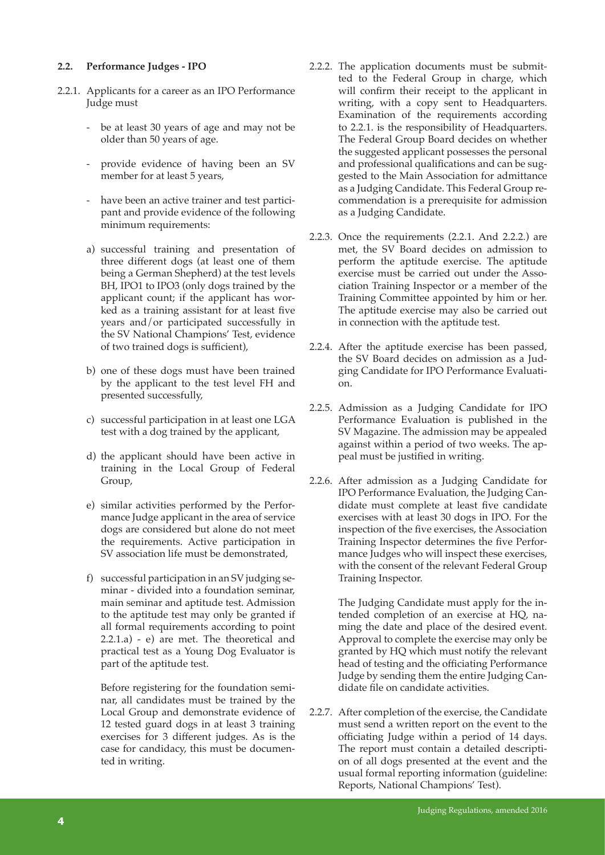#### **2.2. Performance Judges - IPO**

- 2.2.1. Applicants for a career as an IPO Performance Judge must
	- be at least 30 years of age and may not be older than 50 years of age.
	- provide evidence of having been an SV member for at least 5 years,
	- have been an active trainer and test participant and provide evidence of the following minimum requirements:
	- a) successful training and presentation of three different dogs (at least one of them being a German Shepherd) at the test levels BH, IPO1 to IPO3 (only dogs trained by the applicant count; if the applicant has worked as a training assistant for at least five years and/or participated successfully in the SV National Champions' Test, evidence of two trained dogs is sufficient),
	- b) one of these dogs must have been trained by the applicant to the test level FH and presented successfully,
	- c) successful participation in at least one LGA test with a dog trained by the applicant,
	- d) the applicant should have been active in training in the Local Group of Federal Group,
	- e) similar activities performed by the Performance Judge applicant in the area of service dogs are considered but alone do not meet the requirements. Active participation in SV association life must be demonstrated,
	- f) successful participation in an SV judging seminar - divided into a foundation seminar, main seminar and aptitude test. Admission to the aptitude test may only be granted if all formal requirements according to point 2.2.1.a) - e) are met. The theoretical and practical test as a Young Dog Evaluator is part of the aptitude test.

 Before registering for the foundation seminar, all candidates must be trained by the Local Group and demonstrate evidence of 12 tested guard dogs in at least 3 training exercises for 3 different judges. As is the case for candidacy, this must be documented in writing.

- 2.2.2. The application documents must be submitted to the Federal Group in charge, which will confirm their receipt to the applicant in writing, with a copy sent to Headquarters. Examination of the requirements according to 2.2.1. is the responsibility of Headquarters. The Federal Group Board decides on whether the suggested applicant possesses the personal and professional qualifications and can be suggested to the Main Association for admittance as a Judging Candidate. This Federal Group recommendation is a prerequisite for admission as a Judging Candidate.
- 2.2.3. Once the requirements (2.2.1. And 2.2.2.) are met, the SV Board decides on admission to perform the aptitude exercise. The aptitude exercise must be carried out under the Association Training Inspector or a member of the Training Committee appointed by him or her. The aptitude exercise may also be carried out in connection with the aptitude test.
- 2.2.4. After the aptitude exercise has been passed, the SV Board decides on admission as a Judging Candidate for IPO Performance Evaluation.
- 2.2.5. Admission as a Judging Candidate for IPO Performance Evaluation is published in the SV Magazine. The admission may be appealed against within a period of two weeks. The appeal must be justified in writing.
- 2.2.6. After admission as a Judging Candidate for IPO Performance Evaluation, the Judging Candidate must complete at least five candidate exercises with at least 30 dogs in IPO. For the inspection of the five exercises, the Association Training Inspector determines the five Performance Judges who will inspect these exercises, with the consent of the relevant Federal Group Training Inspector.

The Judging Candidate must apply for the intended completion of an exercise at HQ, naming the date and place of the desired event. Approval to complete the exercise may only be granted by HQ which must notify the relevant head of testing and the officiating Performance Judge by sending them the entire Judging Candidate file on candidate activities.

2.2.7. After completion of the exercise, the Candidate must send a written report on the event to the officiating Judge within a period of 14 days. The report must contain a detailed description of all dogs presented at the event and the usual formal reporting information (guideline: Reports, National Champions' Test).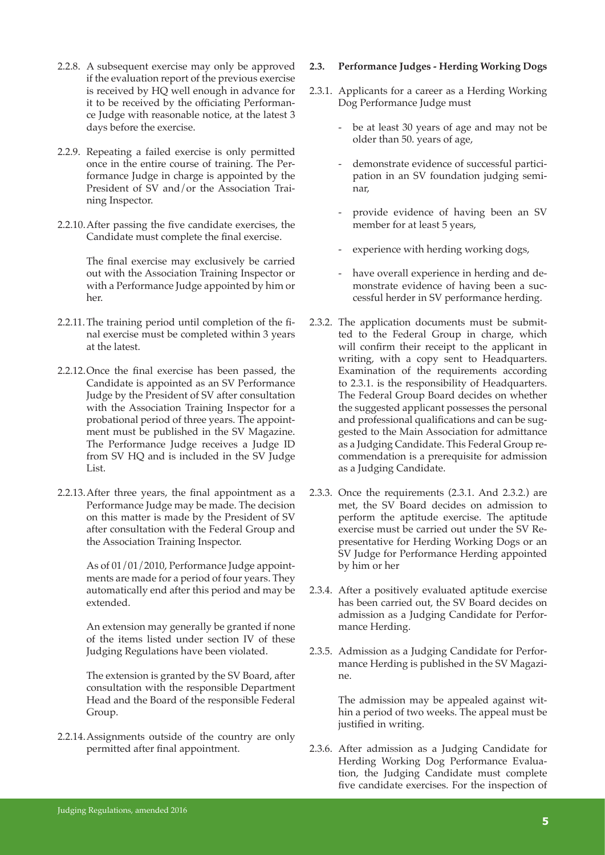- 2.2.8. A subsequent exercise may only be approved if the evaluation report of the previous exercise is received by HQ well enough in advance for it to be received by the officiating Performance Judge with reasonable notice, at the latest 3 days before the exercise.
- 2.2.9. Repeating a failed exercise is only permitted once in the entire course of training. The Performance Judge in charge is appointed by the President of SV and/or the Association Training Inspector.
- 2.2.10.After passing the five candidate exercises, the Candidate must complete the final exercise.

The final exercise may exclusively be carried out with the Association Training Inspector or with a Performance Judge appointed by him or her.

- 2.2.11.The training period until completion of the final exercise must be completed within 3 years at the latest.
- 2.2.12.Once the final exercise has been passed, the Candidate is appointed as an SV Performance Judge by the President of SV after consultation with the Association Training Inspector for a probational period of three years. The appointment must be published in the SV Magazine. The Performance Judge receives a Judge ID from SV HQ and is included in the SV Judge List.
- 2.2.13.After three years, the final appointment as a Performance Judge may be made. The decision on this matter is made by the President of SV after consultation with the Federal Group and the Association Training Inspector.

As of 01/01/2010, Performance Judge appointments are made for a period of four years. They automatically end after this period and may be extended.

An extension may generally be granted if none of the items listed under section IV of these Judging Regulations have been violated.

The extension is granted by the SV Board, after consultation with the responsible Department Head and the Board of the responsible Federal Group.

2.2.14.Assignments outside of the country are only permitted after final appointment.

#### **2.3. Performance Judges - Herding Working Dogs**

- 2.3.1. Applicants for a career as a Herding Working Dog Performance Judge must
	- be at least 30 years of age and may not be older than 50. years of age,
	- demonstrate evidence of successful participation in an SV foundation judging seminar,
	- provide evidence of having been an SV member for at least 5 years,
	- experience with herding working dogs,
	- have overall experience in herding and demonstrate evidence of having been a successful herder in SV performance herding.
- 2.3.2. The application documents must be submitted to the Federal Group in charge, which will confirm their receipt to the applicant in writing, with a copy sent to Headquarters. Examination of the requirements according to 2.3.1. is the responsibility of Headquarters. The Federal Group Board decides on whether the suggested applicant possesses the personal and professional qualifications and can be suggested to the Main Association for admittance as a Judging Candidate. This Federal Group recommendation is a prerequisite for admission as a Judging Candidate.
- 2.3.3. Once the requirements (2.3.1. And 2.3.2.) are met, the SV Board decides on admission to perform the aptitude exercise. The aptitude exercise must be carried out under the SV Representative for Herding Working Dogs or an SV Judge for Performance Herding appointed by him or her
- 2.3.4. After a positively evaluated aptitude exercise has been carried out, the SV Board decides on admission as a Judging Candidate for Performance Herding.
- 2.3.5. Admission as a Judging Candidate for Performance Herding is published in the SV Magazine.

The admission may be appealed against within a period of two weeks. The appeal must be justified in writing.

2.3.6. After admission as a Judging Candidate for Herding Working Dog Performance Evaluation, the Judging Candidate must complete five candidate exercises. For the inspection of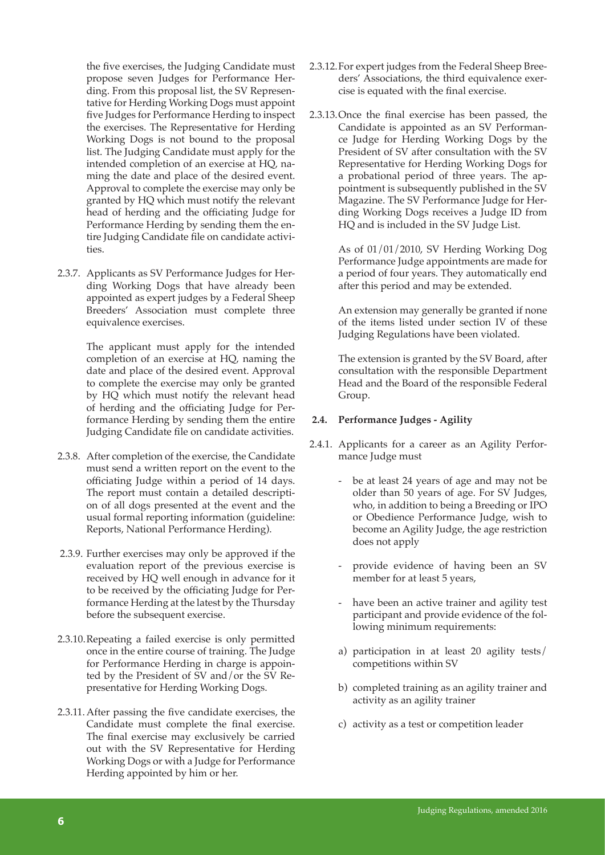the five exercises, the Judging Candidate must propose seven Judges for Performance Herding. From this proposal list, the SV Representative for Herding Working Dogs must appoint five Judges for Performance Herding to inspect the exercises. The Representative for Herding Working Dogs is not bound to the proposal list. The Judging Candidate must apply for the intended completion of an exercise at HQ, naming the date and place of the desired event. Approval to complete the exercise may only be granted by HQ which must notify the relevant head of herding and the officiating Judge for Performance Herding by sending them the entire Judging Candidate file on candidate activities.

2.3.7. Applicants as SV Performance Judges for Herding Working Dogs that have already been appointed as expert judges by a Federal Sheep Breeders' Association must complete three equivalence exercises.

> The applicant must apply for the intended completion of an exercise at HQ, naming the date and place of the desired event. Approval to complete the exercise may only be granted by HQ which must notify the relevant head of herding and the officiating Judge for Performance Herding by sending them the entire Judging Candidate file on candidate activities.

- 2.3.8. After completion of the exercise, the Candidate must send a written report on the event to the officiating Judge within a period of 14 days. The report must contain a detailed description of all dogs presented at the event and the usual formal reporting information (guideline: Reports, National Performance Herding).
- 2.3.9. Further exercises may only be approved if the evaluation report of the previous exercise is received by HQ well enough in advance for it to be received by the officiating Judge for Performance Herding at the latest by the Thursday before the subsequent exercise.
- 2.3.10.Repeating a failed exercise is only permitted once in the entire course of training. The Judge for Performance Herding in charge is appointed by the President of SV and/or the SV Representative for Herding Working Dogs.
- 2.3.11.After passing the five candidate exercises, the Candidate must complete the final exercise. The final exercise may exclusively be carried out with the SV Representative for Herding Working Dogs or with a Judge for Performance Herding appointed by him or her.
- 2.3.12.For expert judges from the Federal Sheep Breeders' Associations, the third equivalence exercise is equated with the final exercise.
- 2.3.13.Once the final exercise has been passed, the Candidate is appointed as an SV Performance Judge for Herding Working Dogs by the President of SV after consultation with the SV Representative for Herding Working Dogs for a probational period of three years. The appointment is subsequently published in the SV Magazine. The SV Performance Judge for Herding Working Dogs receives a Judge ID from HQ and is included in the SV Judge List.

As of 01/01/2010, SV Herding Working Dog Performance Judge appointments are made for a period of four years. They automatically end after this period and may be extended.

An extension may generally be granted if none of the items listed under section IV of these Judging Regulations have been violated.

The extension is granted by the SV Board, after consultation with the responsible Department Head and the Board of the responsible Federal Group.

# **2.4. Performance Judges - Agility**

- 2.4.1. Applicants for a career as an Agility Performance Judge must
	- be at least 24 years of age and may not be older than 50 years of age. For SV Judges, who, in addition to being a Breeding or IPO or Obedience Performance Judge, wish to become an Agility Judge, the age restriction does not apply
	- provide evidence of having been an SV member for at least 5 years,
	- have been an active trainer and agility test participant and provide evidence of the following minimum requirements:
	- a) participation in at least 20 agility tests/ competitions within SV
	- b) completed training as an agility trainer and activity as an agility trainer
	- c) activity as a test or competition leader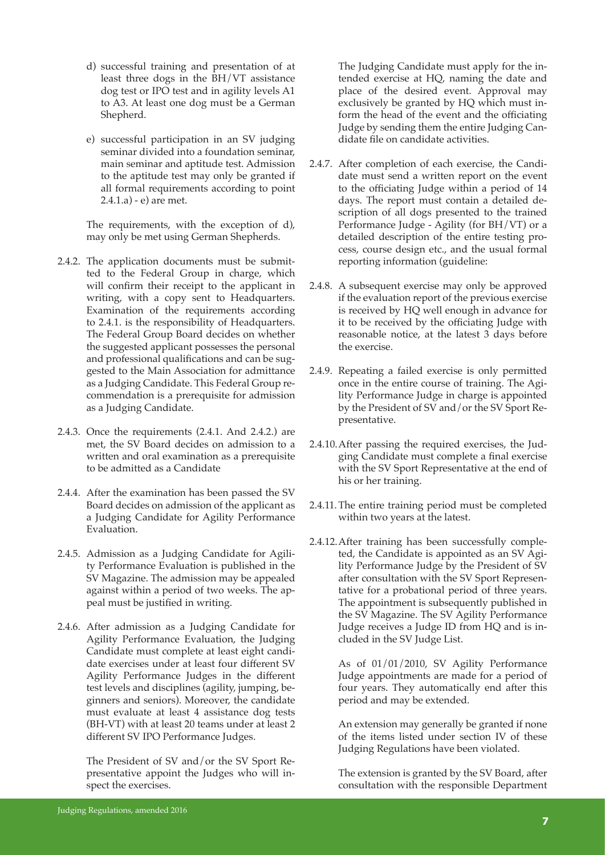- d) successful training and presentation of at least three dogs in the BH/VT assistance dog test or IPO test and in agility levels A1 to A3. At least one dog must be a German Shepherd.
- e) successful participation in an SV judging seminar divided into a foundation seminar, main seminar and aptitude test. Admission to the aptitude test may only be granted if all formal requirements according to point 2.4.1.a) - e) are met.

The requirements, with the exception of d), may only be met using German Shepherds.

- 2.4.2. The application documents must be submitted to the Federal Group in charge, which will confirm their receipt to the applicant in writing, with a copy sent to Headquarters. Examination of the requirements according to 2.4.1. is the responsibility of Headquarters. The Federal Group Board decides on whether the suggested applicant possesses the personal and professional qualifications and can be suggested to the Main Association for admittance as a Judging Candidate. This Federal Group recommendation is a prerequisite for admission as a Judging Candidate.
- 2.4.3. Once the requirements (2.4.1. And 2.4.2.) are met, the SV Board decides on admission to a written and oral examination as a prerequisite to be admitted as a Candidate
- 2.4.4. After the examination has been passed the SV Board decides on admission of the applicant as a Judging Candidate for Agility Performance Evaluation.
- 2.4.5. Admission as a Judging Candidate for Agility Performance Evaluation is published in the SV Magazine. The admission may be appealed against within a period of two weeks. The appeal must be justified in writing.
- 2.4.6. After admission as a Judging Candidate for Agility Performance Evaluation, the Judging Candidate must complete at least eight candidate exercises under at least four different SV Agility Performance Judges in the different test levels and disciplines (agility, jumping, beginners and seniors). Moreover, the candidate must evaluate at least 4 assistance dog tests (BH-VT) with at least 20 teams under at least 2 different SV IPO Performance Judges.

The President of SV and/or the SV Sport Representative appoint the Judges who will inspect the exercises.

The Judging Candidate must apply for the intended exercise at HQ, naming the date and place of the desired event. Approval may exclusively be granted by HQ which must inform the head of the event and the officiating Judge by sending them the entire Judging Candidate file on candidate activities.

- 2.4.7. After completion of each exercise, the Candidate must send a written report on the event to the officiating Judge within a period of 14 days. The report must contain a detailed description of all dogs presented to the trained Performance Judge - Agility (for BH/VT) or a detailed description of the entire testing process, course design etc., and the usual formal reporting information (guideline:
- 2.4.8. A subsequent exercise may only be approved if the evaluation report of the previous exercise is received by HQ well enough in advance for it to be received by the officiating Judge with reasonable notice, at the latest 3 days before the exercise.
- 2.4.9. Repeating a failed exercise is only permitted once in the entire course of training. The Agility Performance Judge in charge is appointed by the President of SV and/or the SV Sport Representative.
- 2.4.10.After passing the required exercises, the Judging Candidate must complete a final exercise with the SV Sport Representative at the end of his or her training.
- 2.4.11.The entire training period must be completed within two years at the latest.
- 2.4.12.After training has been successfully completed, the Candidate is appointed as an SV Agility Performance Judge by the President of SV after consultation with the SV Sport Representative for a probational period of three years. The appointment is subsequently published in the SV Magazine. The SV Agility Performance Judge receives a Judge ID from HQ and is included in the SV Judge List.

As of 01/01/2010, SV Agility Performance Judge appointments are made for a period of four years. They automatically end after this period and may be extended.

An extension may generally be granted if none of the items listed under section IV of these Judging Regulations have been violated.

The extension is granted by the SV Board, after consultation with the responsible Department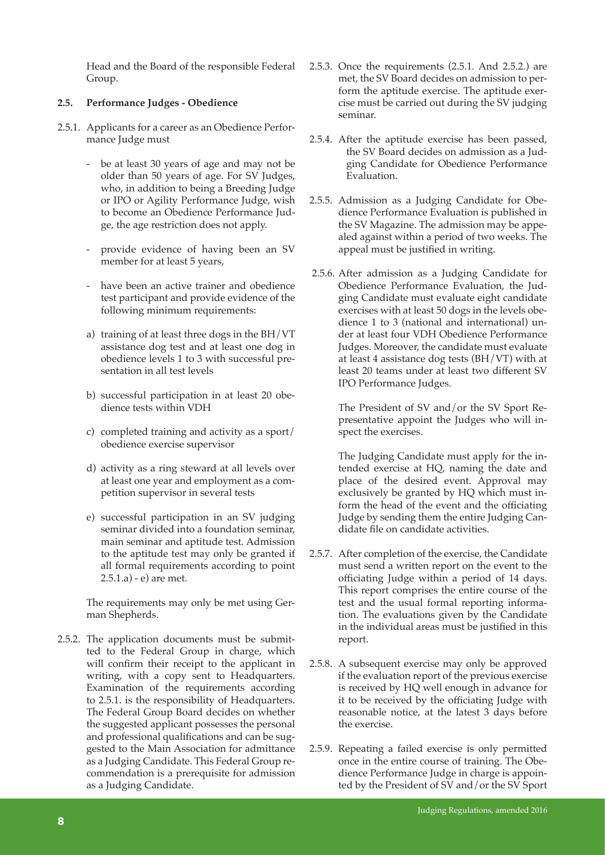Head and the Board of the responsible Federal Group.

# **2.5. Performance Judges - Obedience**

- 2.5.1. Applicants for a career as an Obedience Performance Judge must
	- be at least 30 years of age and may not be older than 50 years of age. For SV Judges, who, in addition to being a Breeding Judge or IPO or Agility Performance Judge, wish to become an Obedience Performance Judge, the age restriction does not apply.
	- provide evidence of having been an SV member for at least 5 years,
	- have been an active trainer and obedience test participant and provide evidence of the following minimum requirements:
	- a) training of at least three dogs in the BH/VT assistance dog test and at least one dog in obedience levels 1 to 3 with successful presentation in all test levels
	- b) successful participation in at least 20 obedience tests within VDH
	- c) completed training and activity as a sport/ obedience exercise supervisor
	- d) activity as a ring steward at all levels over at least one year and employment as a competition supervisor in several tests
	- e) successful participation in an SV judging seminar divided into a foundation seminar, main seminar and aptitude test. Admission to the aptitude test may only be granted if all formal requirements according to point 2.5.1.a) - e) are met.

The requirements may only be met using German Shepherds.

2.5.2. The application documents must be submitted to the Federal Group in charge, which will confirm their receipt to the applicant in writing, with a copy sent to Headquarters. Examination of the requirements according to 2.5.1. is the responsibility of Headquarters. The Federal Group Board decides on whether the suggested applicant possesses the personal and professional qualifications and can be suggested to the Main Association for admittance as a Judging Candidate. This Federal Group recommendation is a prerequisite for admission as a Judging Candidate.

- 2.5.3. Once the requirements (2.5.1. And 2.5.2.) are met, the SV Board decides on admission to perform the aptitude exercise. The aptitude exercise must be carried out during the SV judging seminar.
- 2.5.4. After the aptitude exercise has been passed, the SV Board decides on admission as a Judging Candidate for Obedience Performance Evaluation.
- 2.5.5. Admission as a Judging Candidate for Obedience Performance Evaluation is published in the SV Magazine. The admission may be appealed against within a period of two weeks. The appeal must be justified in writing.
- 2.5.6. After admission as a Judging Candidate for Obedience Performance Evaluation, the Judging Candidate must evaluate eight candidate exercises with at least 50 dogs in the levels obedience 1 to 3 (national and international) under at least four VDH Obedience Performance Judges. Moreover, the candidate must evaluate at least 4 assistance dog tests (BH/VT) with at least 20 teams under at least two different SV IPO Performance Judges.

The President of SV and/or the SV Sport Representative appoint the Judges who will inspect the exercises.

The Judging Candidate must apply for the intended exercise at HQ, naming the date and place of the desired event. Approval may exclusively be granted by HQ which must inform the head of the event and the officiating Judge by sending them the entire Judging Candidate file on candidate activities.

- 2.5.7. After completion of the exercise, the Candidate must send a written report on the event to the officiating Judge within a period of 14 days. This report comprises the entire course of the test and the usual formal reporting information. The evaluations given by the Candidate in the individual areas must be justified in this report.
- 2.5.8. A subsequent exercise may only be approved if the evaluation report of the previous exercise is received by HQ well enough in advance for it to be received by the officiating Judge with reasonable notice, at the latest 3 days before the exercise.
- 2.5.9. Repeating a failed exercise is only permitted once in the entire course of training. The Obedience Performance Judge in charge is appointed by the President of SV and/or the SV Sport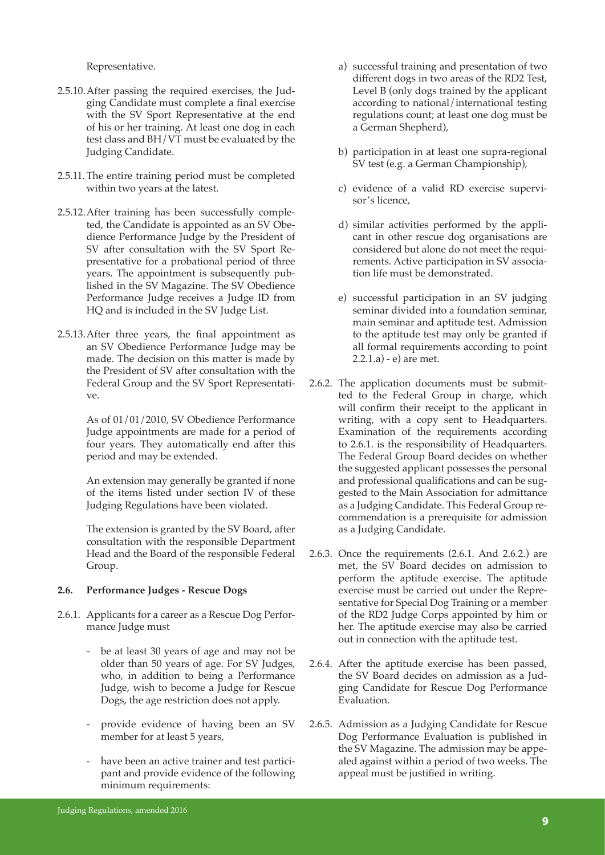Representative.

- 2.5.10.After passing the required exercises, the Judging Candidate must complete a final exercise with the SV Sport Representative at the end of his or her training. At least one dog in each test class and BH/VT must be evaluated by the Judging Candidate.
- 2.5.11.The entire training period must be completed within two years at the latest.
- 2.5.12.After training has been successfully completed, the Candidate is appointed as an SV Obedience Performance Judge by the President of SV after consultation with the SV Sport Representative for a probational period of three years. The appointment is subsequently published in the SV Magazine. The SV Obedience Performance Judge receives a Judge ID from HQ and is included in the SV Judge List.
- 2.5.13.After three years, the final appointment as an SV Obedience Performance Judge may be made. The decision on this matter is made by the President of SV after consultation with the Federal Group and the SV Sport Representative.

As of 01/01/2010, SV Obedience Performance Judge appointments are made for a period of four years. They automatically end after this period and may be extended.

An extension may generally be granted if none of the items listed under section IV of these Judging Regulations have been violated.

The extension is granted by the SV Board, after consultation with the responsible Department Head and the Board of the responsible Federal Group.

#### **2.6. Performance Judges - Rescue Dogs**

- 2.6.1. Applicants for a career as a Rescue Dog Performance Judge must
	- be at least 30 years of age and may not be older than 50 years of age. For SV Judges, who, in addition to being a Performance Judge, wish to become a Judge for Rescue Dogs, the age restriction does not apply.
	- provide evidence of having been an SV member for at least 5 years,
	- have been an active trainer and test participant and provide evidence of the following minimum requirements:
- a) successful training and presentation of two different dogs in two areas of the RD2 Test, Level B (only dogs trained by the applicant according to national/international testing regulations count; at least one dog must be a German Shepherd),
- b) participation in at least one supra-regional SV test (e.g. a German Championship),
- c) evidence of a valid RD exercise supervisor's licence,
- d) similar activities performed by the applicant in other rescue dog organisations are considered but alone do not meet the requirements. Active participation in SV association life must be demonstrated.
- e) successful participation in an SV judging seminar divided into a foundation seminar, main seminar and aptitude test. Admission to the aptitude test may only be granted if all formal requirements according to point 2.2.1.a) - e) are met.
- 2.6.2. The application documents must be submitted to the Federal Group in charge, which will confirm their receipt to the applicant in writing, with a copy sent to Headquarters. Examination of the requirements according to 2.6.1. is the responsibility of Headquarters. The Federal Group Board decides on whether the suggested applicant possesses the personal and professional qualifications and can be suggested to the Main Association for admittance as a Judging Candidate. This Federal Group recommendation is a prerequisite for admission as a Judging Candidate.
- 2.6.3. Once the requirements (2.6.1. And 2.6.2.) are met, the SV Board decides on admission to perform the aptitude exercise. The aptitude exercise must be carried out under the Representative for Special Dog Training or a member of the RD2 Judge Corps appointed by him or her. The aptitude exercise may also be carried out in connection with the aptitude test.
- 2.6.4. After the aptitude exercise has been passed, the SV Board decides on admission as a Judging Candidate for Rescue Dog Performance Evaluation.
- 2.6.5. Admission as a Judging Candidate for Rescue Dog Performance Evaluation is published in the SV Magazine. The admission may be appealed against within a period of two weeks. The appeal must be justified in writing.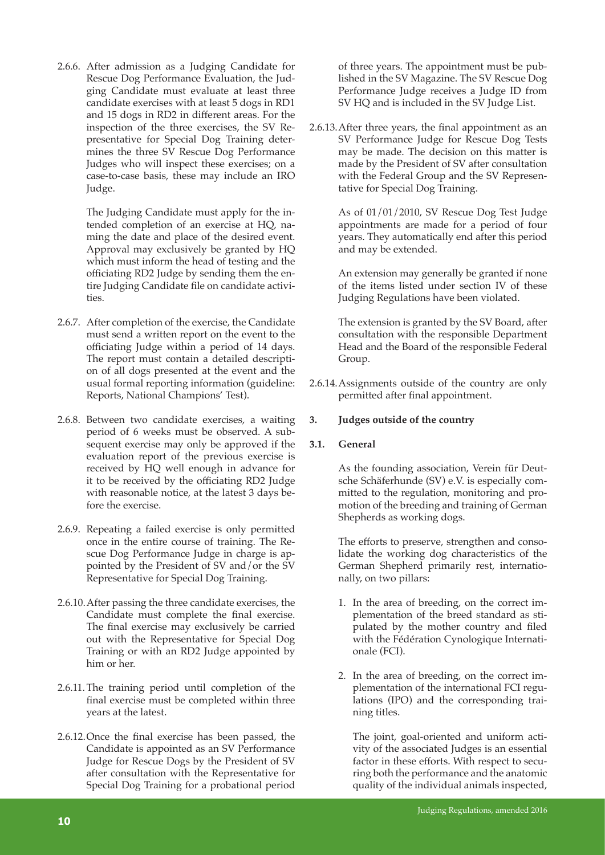2.6.6. After admission as a Judging Candidate for Rescue Dog Performance Evaluation, the Judging Candidate must evaluate at least three candidate exercises with at least 5 dogs in RD1 and 15 dogs in RD2 in different areas. For the inspection of the three exercises, the SV Representative for Special Dog Training determines the three SV Rescue Dog Performance Judges who will inspect these exercises; on a case-to-case basis, these may include an IRO Judge.

> The Judging Candidate must apply for the intended completion of an exercise at HQ, naming the date and place of the desired event. Approval may exclusively be granted by HQ which must inform the head of testing and the officiating RD2 Judge by sending them the entire Judging Candidate file on candidate activities.

- 2.6.7. After completion of the exercise, the Candidate must send a written report on the event to the officiating Judge within a period of 14 days. The report must contain a detailed description of all dogs presented at the event and the usual formal reporting information (guideline: Reports, National Champions' Test).
- 2.6.8. Between two candidate exercises, a waiting period of 6 weeks must be observed. A subsequent exercise may only be approved if the evaluation report of the previous exercise is received by HQ well enough in advance for it to be received by the officiating RD2 Judge with reasonable notice, at the latest 3 days before the exercise.
- 2.6.9. Repeating a failed exercise is only permitted once in the entire course of training. The Rescue Dog Performance Judge in charge is appointed by the President of SV and/or the SV Representative for Special Dog Training.
- 2.6.10.After passing the three candidate exercises, the Candidate must complete the final exercise. The final exercise may exclusively be carried out with the Representative for Special Dog Training or with an RD2 Judge appointed by him or her.
- 2.6.11.The training period until completion of the final exercise must be completed within three years at the latest.
- 2.6.12.Once the final exercise has been passed, the Candidate is appointed as an SV Performance Judge for Rescue Dogs by the President of SV after consultation with the Representative for Special Dog Training for a probational period

of three years. The appointment must be published in the SV Magazine. The SV Rescue Dog Performance Judge receives a Judge ID from SV HQ and is included in the SV Judge List.

2.6.13.After three years, the final appointment as an SV Performance Judge for Rescue Dog Tests may be made. The decision on this matter is made by the President of SV after consultation with the Federal Group and the SV Representative for Special Dog Training.

> As of 01/01/2010, SV Rescue Dog Test Judge appointments are made for a period of four years. They automatically end after this period and may be extended.

> An extension may generally be granted if none of the items listed under section IV of these Judging Regulations have been violated.

> The extension is granted by the SV Board, after consultation with the responsible Department Head and the Board of the responsible Federal Group.

2.6.14.Assignments outside of the country are only permitted after final appointment.

# **3. Judges outside of the country**

#### **3.1. General**

As the founding association, Verein für Deutsche Schäferhunde (SV) e.V. is especially committed to the regulation, monitoring and promotion of the breeding and training of German Shepherds as working dogs.

The efforts to preserve, strengthen and consolidate the working dog characteristics of the German Shepherd primarily rest, internationally, on two pillars:

- 1. In the area of breeding, on the correct implementation of the breed standard as stipulated by the mother country and filed with the Fédération Cynologique Internationale (FCI).
- 2. In the area of breeding, on the correct implementation of the international FCI regulations (IPO) and the corresponding training titles.

 The joint, goal-oriented and uniform activity of the associated Judges is an essential factor in these efforts. With respect to securing both the performance and the anatomic quality of the individual animals inspected,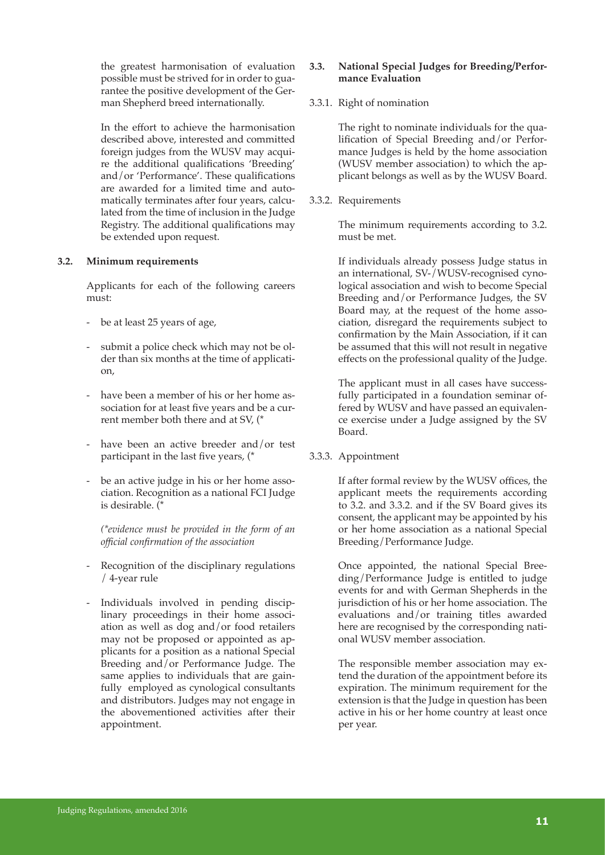the greatest harmonisation of evaluation possible must be strived for in order to guarantee the positive development of the German Shepherd breed internationally.

 In the effort to achieve the harmonisation described above, interested and committed foreign judges from the WUSV may acquire the additional qualifications 'Breeding' and/or 'Performance'. These qualifications are awarded for a limited time and automatically terminates after four years, calculated from the time of inclusion in the Judge Registry. The additional qualifications may be extended upon request.

#### **3.2. Minimum requirements**

Applicants for each of the following careers must:

- be at least 25 years of age,
- submit a police check which may not be older than six months at the time of application,
- have been a member of his or her home association for at least five years and be a current member both there and at SV, (\*
- have been an active breeder and/or test participant in the last five years, (\*
- be an active judge in his or her home association. Recognition as a national FCI Judge is desirable. (\*

 *(\*evidence must be provided in the form of an official confirmation of the association*

- Recognition of the disciplinary regulations / 4-year rule
- Individuals involved in pending disciplinary proceedings in their home association as well as dog and/or food retailers may not be proposed or appointed as applicants for a position as a national Special Breeding and/or Performance Judge. The same applies to individuals that are gainfully employed as cynological consultants and distributors. Judges may not engage in the abovementioned activities after their appointment.

# **3.3. National Special Judges for Breeding/Performance Evaluation**

# 3.3.1. Right of nomination

The right to nominate individuals for the qualification of Special Breeding and/or Performance Judges is held by the home association (WUSV member association) to which the applicant belongs as well as by the WUSV Board.

3.3.2. Requirements

The minimum requirements according to 3.2. must be met.

If individuals already possess Judge status in an international, SV-/WUSV-recognised cynological association and wish to become Special Breeding and/or Performance Judges, the SV Board may, at the request of the home association, disregard the requirements subject to confirmation by the Main Association, if it can be assumed that this will not result in negative effects on the professional quality of the Judge.

The applicant must in all cases have successfully participated in a foundation seminar offered by WUSV and have passed an equivalence exercise under a Judge assigned by the SV Board.

#### 3.3.3. Appointment

If after formal review by the WUSV offices, the applicant meets the requirements according to 3.2. and 3.3.2. and if the SV Board gives its consent, the applicant may be appointed by his or her home association as a national Special Breeding/Performance Judge.

Once appointed, the national Special Breeding/Performance Judge is entitled to judge events for and with German Shepherds in the jurisdiction of his or her home association. The evaluations and/or training titles awarded here are recognised by the corresponding national WUSV member association.

The responsible member association may extend the duration of the appointment before its expiration. The minimum requirement for the extension is that the Judge in question has been active in his or her home country at least once per year.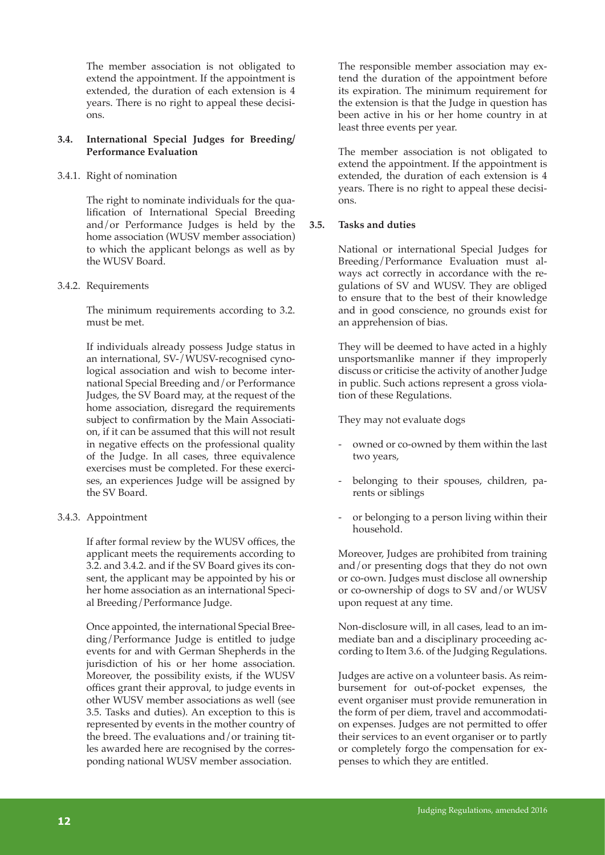The member association is not obligated to extend the appointment. If the appointment is extended, the duration of each extension is 4 years. There is no right to appeal these decisions.

#### **3.4. International Special Judges for Breeding/ Performance Evaluation**

#### 3.4.1. Right of nomination

The right to nominate individuals for the qualification of International Special Breeding and/or Performance Judges is held by the home association (WUSV member association) to which the applicant belongs as well as by the WUSV Board.

#### 3.4.2. Requirements

The minimum requirements according to 3.2. must be met.

If individuals already possess Judge status in an international, SV-/WUSV-recognised cynological association and wish to become international Special Breeding and/or Performance Judges, the SV Board may, at the request of the home association, disregard the requirements subject to confirmation by the Main Association, if it can be assumed that this will not result in negative effects on the professional quality of the Judge. In all cases, three equivalence exercises must be completed. For these exercises, an experiences Judge will be assigned by the SV Board.

#### 3.4.3. Appointment

If after formal review by the WUSV offices, the applicant meets the requirements according to 3.2. and 3.4.2. and if the SV Board gives its consent, the applicant may be appointed by his or her home association as an international Special Breeding/Performance Judge.

Once appointed, the international Special Breeding/Performance Judge is entitled to judge events for and with German Shepherds in the jurisdiction of his or her home association. Moreover, the possibility exists, if the WUSV offices grant their approval, to judge events in other WUSV member associations as well (see 3.5. Tasks and duties). An exception to this is represented by events in the mother country of the breed. The evaluations and/or training titles awarded here are recognised by the corresponding national WUSV member association.

The responsible member association may extend the duration of the appointment before its expiration. The minimum requirement for the extension is that the Judge in question has been active in his or her home country in at least three events per year.

The member association is not obligated to extend the appointment. If the appointment is extended, the duration of each extension is 4 years. There is no right to appeal these decisions.

# **3.5. Tasks and duties**

National or international Special Judges for Breeding/Performance Evaluation must always act correctly in accordance with the regulations of SV and WUSV. They are obliged to ensure that to the best of their knowledge and in good conscience, no grounds exist for an apprehension of bias.

They will be deemed to have acted in a highly unsportsmanlike manner if they improperly discuss or criticise the activity of another Judge in public. Such actions represent a gross violation of these Regulations.

They may not evaluate dogs

- owned or co-owned by them within the last two years,
- belonging to their spouses, children, parents or siblings
- or belonging to a person living within their household.

Moreover, Judges are prohibited from training and/or presenting dogs that they do not own or co-own. Judges must disclose all ownership or co-ownership of dogs to SV and/or WUSV upon request at any time.

Non-disclosure will, in all cases, lead to an immediate ban and a disciplinary proceeding according to Item 3.6. of the Judging Regulations.

Judges are active on a volunteer basis. As reimbursement for out-of-pocket expenses, the event organiser must provide remuneration in the form of per diem, travel and accommodation expenses. Judges are not permitted to offer their services to an event organiser or to partly or completely forgo the compensation for expenses to which they are entitled.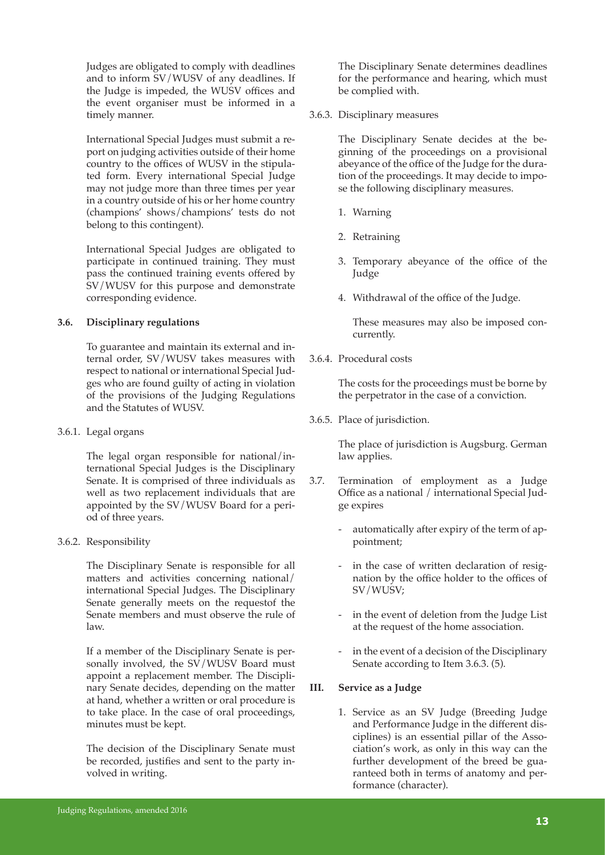Judges are obligated to comply with deadlines and to inform SV/WUSV of any deadlines. If the Judge is impeded, the WUSV offices and the event organiser must be informed in a timely manner.

International Special Judges must submit a report on judging activities outside of their home country to the offices of WUSV in the stipulated form. Every international Special Judge may not judge more than three times per year in a country outside of his or her home country (champions' shows/champions' tests do not belong to this contingent).

International Special Judges are obligated to participate in continued training. They must pass the continued training events offered by SV/WUSV for this purpose and demonstrate corresponding evidence.

#### **3.6. Disciplinary regulations**

To guarantee and maintain its external and internal order, SV/WUSV takes measures with respect to national or international Special Judges who are found guilty of acting in violation of the provisions of the Judging Regulations and the Statutes of WUSV.

#### 3.6.1. Legal organs

The legal organ responsible for national/international Special Judges is the Disciplinary Senate. It is comprised of three individuals as well as two replacement individuals that are appointed by the SV/WUSV Board for a period of three years.

#### 3.6.2. Responsibility

The Disciplinary Senate is responsible for all matters and activities concerning national/ international Special Judges. The Disciplinary Senate generally meets on the requestof the Senate members and must observe the rule of law.

If a member of the Disciplinary Senate is personally involved, the SV/WUSV Board must appoint a replacement member. The Disciplinary Senate decides, depending on the matter at hand, whether a written or oral procedure is to take place. In the case of oral proceedings, minutes must be kept.

The decision of the Disciplinary Senate must be recorded, justifies and sent to the party involved in writing.

The Disciplinary Senate determines deadlines for the performance and hearing, which must be complied with.

3.6.3. Disciplinary measures

The Disciplinary Senate decides at the beginning of the proceedings on a provisional abeyance of the office of the Judge for the duration of the proceedings. It may decide to impose the following disciplinary measures.

- 1. Warning
- 2. Retraining
- 3. Temporary abeyance of the office of the Judge
- 4. Withdrawal of the office of the Judge.

 These measures may also be imposed concurrently.

3.6.4. Procedural costs

The costs for the proceedings must be borne by the perpetrator in the case of a conviction.

3.6.5. Place of jurisdiction.

The place of jurisdiction is Augsburg. German law applies.

- 3.7. Termination of employment as a Judge Office as a national / international Special Judge expires
	- automatically after expiry of the term of appointment;
	- in the case of written declaration of resignation by the office holder to the offices of SV/WUSV;
	- in the event of deletion from the Judge List at the request of the home association.
	- in the event of a decision of the Disciplinary Senate according to Item 3.6.3. (5).

# **III. Service as a Judge**

1. Service as an SV Judge (Breeding Judge and Performance Judge in the different disciplines) is an essential pillar of the Association's work, as only in this way can the further development of the breed be guaranteed both in terms of anatomy and performance (character).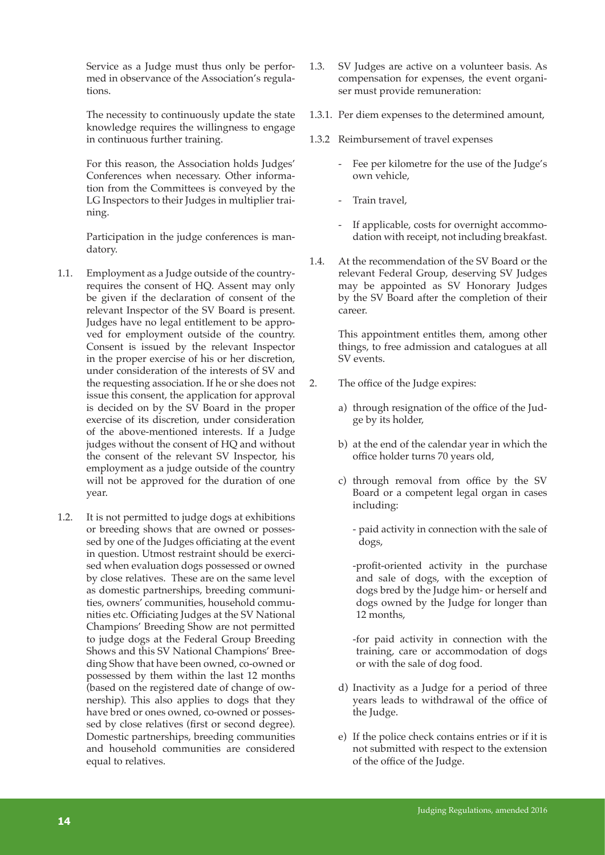Service as a Judge must thus only be performed in observance of the Association's regulations.

The necessity to continuously update the state knowledge requires the willingness to engage in continuous further training.

For this reason, the Association holds Judges' Conferences when necessary. Other information from the Committees is conveyed by the LG Inspectors to their Judges in multiplier training.

Participation in the judge conferences is mandatory.

- 1.1. Employment as a Judge outside of the countryrequires the consent of HQ. Assent may only be given if the declaration of consent of the relevant Inspector of the SV Board is present. Judges have no legal entitlement to be approved for employment outside of the country. Consent is issued by the relevant Inspector in the proper exercise of his or her discretion, under consideration of the interests of SV and the requesting association. If he or she does not issue this consent, the application for approval is decided on by the SV Board in the proper exercise of its discretion, under consideration of the above-mentioned interests. If a Judge judges without the consent of HQ and without the consent of the relevant SV Inspector, his employment as a judge outside of the country will not be approved for the duration of one year.
- 1.2. It is not permitted to judge dogs at exhibitions or breeding shows that are owned or possessed by one of the Judges officiating at the event in question. Utmost restraint should be exercised when evaluation dogs possessed or owned by close relatives. These are on the same level as domestic partnerships, breeding communities, owners' communities, household communities etc. Officiating Judges at the SV National Champions' Breeding Show are not permitted to judge dogs at the Federal Group Breeding Shows and this SV National Champions' Breeding Show that have been owned, co-owned or possessed by them within the last 12 months (based on the registered date of change of ownership). This also applies to dogs that they have bred or ones owned, co-owned or possessed by close relatives (first or second degree). Domestic partnerships, breeding communities and household communities are considered equal to relatives.
- 1.3. SV Judges are active on a volunteer basis. As compensation for expenses, the event organiser must provide remuneration:
- 1.3.1. Per diem expenses to the determined amount,
- 1.3.2 Reimbursement of travel expenses
	- Fee per kilometre for the use of the Judge's own vehicle,
	- Train travel,
	- If applicable, costs for overnight accommodation with receipt, not including breakfast.
- 1.4. At the recommendation of the SV Board or the relevant Federal Group, deserving SV Judges may be appointed as SV Honorary Judges by the SV Board after the completion of their career.

This appointment entitles them, among other things, to free admission and catalogues at all SV events.

- 2. The office of the Judge expires:
	- a) through resignation of the office of the Judge by its holder,
	- b) at the end of the calendar year in which the office holder turns 70 years old,
	- c) through removal from office by the SV Board or a competent legal organ in cases including:
		- paid activity in connection with the sale of dogs,

 -profit-oriented activity in the purchase and sale of dogs, with the exception of dogs bred by the Judge him- or herself and dogs owned by the Judge for longer than 12 months,

 -for paid activity in connection with the training, care or accommodation of dogs or with the sale of dog food.

- d) Inactivity as a Judge for a period of three years leads to withdrawal of the office of the Judge.
- e) If the police check contains entries or if it is not submitted with respect to the extension of the office of the Judge.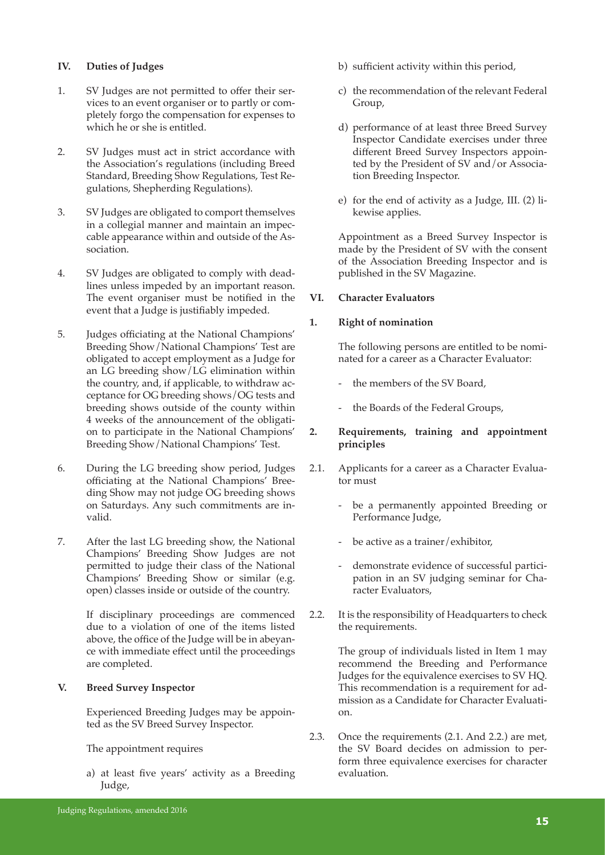#### **IV. Duties of Judges**

- 1. SV Judges are not permitted to offer their services to an event organiser or to partly or completely forgo the compensation for expenses to which he or she is entitled.
- 2. SV Judges must act in strict accordance with the Association's regulations (including Breed Standard, Breeding Show Regulations, Test Regulations, Shepherding Regulations).
- 3. SV Judges are obligated to comport themselves in a collegial manner and maintain an impeccable appearance within and outside of the Association.
- 4. SV Judges are obligated to comply with deadlines unless impeded by an important reason. The event organiser must be notified in the event that a Judge is justifiably impeded.
- 5. Judges officiating at the National Champions' Breeding Show/National Champions' Test are obligated to accept employment as a Judge for an LG breeding show/LG elimination within the country, and, if applicable, to withdraw acceptance for OG breeding shows/OG tests and breeding shows outside of the county within 4 weeks of the announcement of the obligation to participate in the National Champions' Breeding Show/National Champions' Test.
- 6. During the LG breeding show period, Judges officiating at the National Champions' Breeding Show may not judge OG breeding shows on Saturdays. Any such commitments are invalid.
- 7. After the last LG breeding show, the National Champions' Breeding Show Judges are not permitted to judge their class of the National Champions' Breeding Show or similar (e.g. open) classes inside or outside of the country.

If disciplinary proceedings are commenced due to a violation of one of the items listed above, the office of the Judge will be in abeyance with immediate effect until the proceedings are completed.

#### **V. Breed Survey Inspector**

Experienced Breeding Judges may be appointed as the SV Breed Survey Inspector.

The appointment requires

a) at least five years' activity as a Breeding Judge,

- b) sufficient activity within this period,
- c) the recommendation of the relevant Federal Group,
- d) performance of at least three Breed Survey Inspector Candidate exercises under three different Breed Survey Inspectors appointed by the President of SV and/or Association Breeding Inspector.
- e) for the end of activity as a Judge, III. (2) likewise applies.

Appointment as a Breed Survey Inspector is made by the President of SV with the consent of the Association Breeding Inspector and is published in the SV Magazine.

#### **VI. Character Evaluators**

# **1. Right of nomination**

The following persons are entitled to be nominated for a career as a Character Evaluator:

- the members of the SV Board,
- the Boards of the Federal Groups,

# **2. Requirements, training and appointment principles**

- 2.1. Applicants for a career as a Character Evaluator must
	- be a permanently appointed Breeding or Performance Judge,
	- be active as a trainer/exhibitor,
	- demonstrate evidence of successful participation in an SV judging seminar for Character Evaluators,
- 2.2. It is the responsibility of Headquarters to check the requirements.

The group of individuals listed in Item 1 may recommend the Breeding and Performance Judges for the equivalence exercises to SV HQ. This recommendation is a requirement for admission as a Candidate for Character Evaluation.

2.3. Once the requirements (2.1. And 2.2.) are met, the SV Board decides on admission to perform three equivalence exercises for character evaluation.